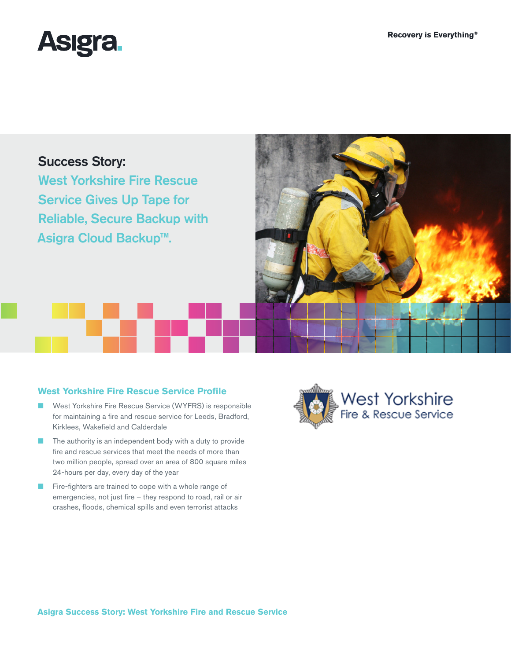

# Success Story:

West Yorkshire Fire Rescue Service Gives Up Tape for Reliable, Secure Backup with Asigra Cloud Backup™.



## **West Yorkshire Fire Rescue Service Profile**

- West Yorkshire Fire Rescue Service (WYFRS) is responsible for maintaining a fire and rescue service for Leeds, Bradford, Kirklees, Wakefield and Calderdale
- The authority is an independent body with a duty to provide fire and rescue services that meet the needs of more than two million people, spread over an area of 800 square miles 24-hours per day, every day of the year
- Fire-fighters are trained to cope with a whole range of emergencies, not just fire – they respond to road, rail or air crashes, floods, chemical spills and even terrorist attacks

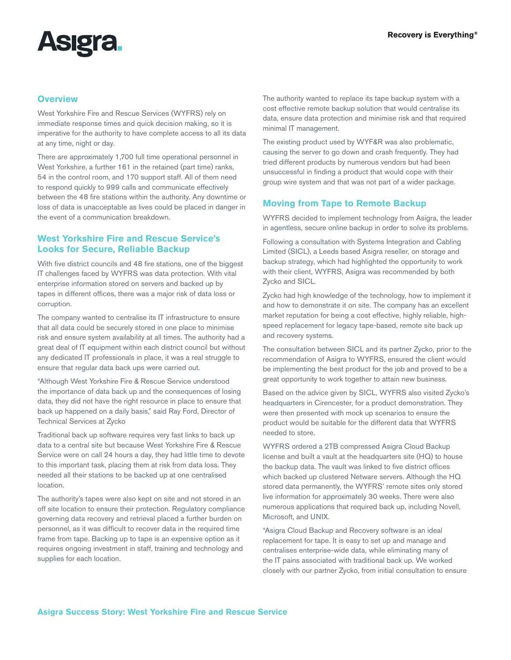

#### **Overview**

West Yorkshire Fire and Rescue Services (WYFRS) rely on immediate response times and quick decision making, so it is imperative for the authority to have complete access to all its data at any time, night or day.

There are approximately 1,700 full time operational personnel in West Yorkshire, a further 161 in the retained (part time) ranks, 54 in the control room, and 170 support staff. All of them need to respond quickly to 999 calls and communicate effectively between the 48 fire stations within the authority. Any downtime or loss of data is unacceptable as lives could be placed in danger in the event of a communication breakdown.

#### **West Yorkshire Fire and Rescue Service's Looks for Secure, Reliable Backup**

With five district councils and 48 fire stations, one of the biggest IT challenges faced by WYFRS was data protection. With vital enterprise information stored on servers and backed up by tapes in different offices, there was a major risk of data loss or corruption.

The company wanted to centralise its IT infrastructure to ensure that all data could be securely stored in one place to minimise risk and ensure system availability at all times. The authority had a great deal of IT equipment within each district council but without any dedicated IT professionals in place, it was a real struggle to ensure that regular data back ups were carried out.

"Although West Yorkshire Fire & Rescue Service understood the importance of data back up and the consequences of losing data, they did not have the right resource in place to ensure that back up happened on a daily basis," said Ray Ford, Director of Technical Services at Zycko

Traditional back up software requires very fast links to back up data to a central site but because West Yorkshire Fire & Rescue Service were on call 24 hours a day, they had little time to devote to this important task, placing them at risk from data loss. They needed all their stations to be backed up at one centralised location.

The authority's tapes were also kept on site and not stored in an off site location to ensure their protection. Regulatory compliance governing data recovery and retrieval placed a further burden on personnel, as it was difficult to recover data in the required time frame from tape. Backing up to tape is an expensive option as it requires ongoing investment in staff, training and technology and supplies for each location.

The authority wanted to replace its tape backup system with a cost effective remote backup solution that would centralise its data, ensure data protection and minimise risk and that required minimal IT management.

The existing product used by WYF&R was also problematic, causing the server to go down and crash frequently. They had tried different products by numerous vendors but had been unsuccessful in finding a product that would cope with their group wire system and that was not part of a wider package.

### **Moving from Tape to Remote Backup**

WYFRS decided to implement technology from Asigra, the leader in agentless, secure online backup in order to solve its problems.

Following a consultation with Systems Integration and Cabling Limited (SICL), a Leeds based Asigra reseller, on storage and backup strategy, which had highlighted the opportunity to work with their client, WYFRS, Asigra was recommended by both Zycko and SICL.

Zycko had high knowledge of the technology, how to implement it and how to demonstrate it on site. The company has an excellent market reputation for being a cost effective, highly reliable, highspeed replacement for legacy tape-based, remote site back up and recovery systems.

The consultation between SICL and its partner Zycko, prior to the recommendation of Asigra to WYFRS, ensured the client would be implementing the best product for the job and proved to be a great opportunity to work together to attain new business.

Based on the advice given by SICL, WYFRS also visited Zycko's headquarters in Cirencester, for a product demonstration. They were then presented with mock up scenarios to ensure the product would be suitable for the different data that WYFRS needed to store.

WYFRS ordered a 2TB compressed Asigra Cloud Backup license and built a vault at the headquarters site (HQ) to house the backup data. The vault was linked to five district offices which backed up clustered Netware servers. Although the HQ stored data permanently, the WYFRS' remote sites only stored live information for approximately 30 weeks. There were also numerous applications that required back up, including Novell, Microsoft, and UNIX.

"Asigra Cloud Backup and Recovery software is an ideal replacement for tape. It is easy to set up and manage and centralises enterprise-wide data, while eliminating many of the IT pains associated with traditional back up. We worked closely with our partner Zycko, from initial consultation to ensure